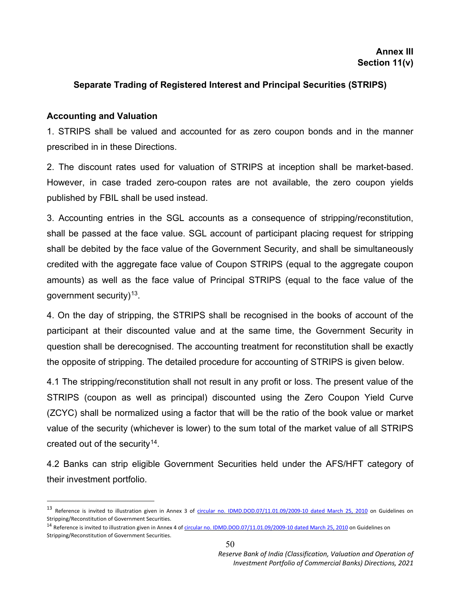## **Separate Trading of Registered Interest and Principal Securities (STRIPS)**

## **Accounting and Valuation**

 $\overline{a}$ 

1. STRIPS shall be valued and accounted for as zero coupon bonds and in the manner prescribed in in these Directions.

2. The discount rates used for valuation of STRIPS at inception shall be market-based. However, in case traded zero-coupon rates are not available, the zero coupon yields published by FBIL shall be used instead.

3. Accounting entries in the SGL accounts as a consequence of stripping/reconstitution, shall be passed at the face value. SGL account of participant placing request for stripping shall be debited by the face value of the Government Security, and shall be simultaneously credited with the aggregate face value of Coupon STRIPS (equal to the aggregate coupon amounts) as well as the face value of Principal STRIPS (equal to the face value of the government security) $13$ .

4. On the day of stripping, the STRIPS shall be recognised in the books of account of the participant at their discounted value and at the same time, the Government Security in question shall be derecognised. The accounting treatment for reconstitution shall be exactly the opposite of stripping. The detailed procedure for accounting of STRIPS is given below.

4.1 The stripping/reconstitution shall not result in any profit or loss. The present value of the STRIPS (coupon as well as principal) discounted using the Zero Coupon Yield Curve (ZCYC) shall be normalized using a factor that will be the ratio of the book value or market value of the security (whichever is lower) to the sum total of the market value of all STRIPS created out of the security  $14$ .

4.2 Banks can strip eligible Government Securities held under the AFS/HFT category of their investment portfolio.

<span id="page-0-0"></span><sup>&</sup>lt;sup>13</sup> Reference is invited to illustration given in Annex 3 of [circular no. IDMD.DOD.07/11.01.09/2009-10 dated March 25, 2010](https://www.rbi.org.in/Scripts/NotificationUser.aspx?Id=5546&Mode=0) on Guidelines on Stripping/Reconstitution of Government Securities.

<span id="page-0-1"></span><sup>&</sup>lt;sup>14</sup> Reference is invited to illustration given in Annex 4 o[f circular no. IDMD.DOD.07/11.01.09/2009-10 dated March 25, 2010](https://www.rbi.org.in/Scripts/NotificationUser.aspx?Id=5546&Mode=0) on Guidelines on Stripping/Reconstitution of Government Securities.

*Reserve Bank of India (Classification, Valuation and Operation of Investment Portfolio of Commercial Banks) Directions, 2021*